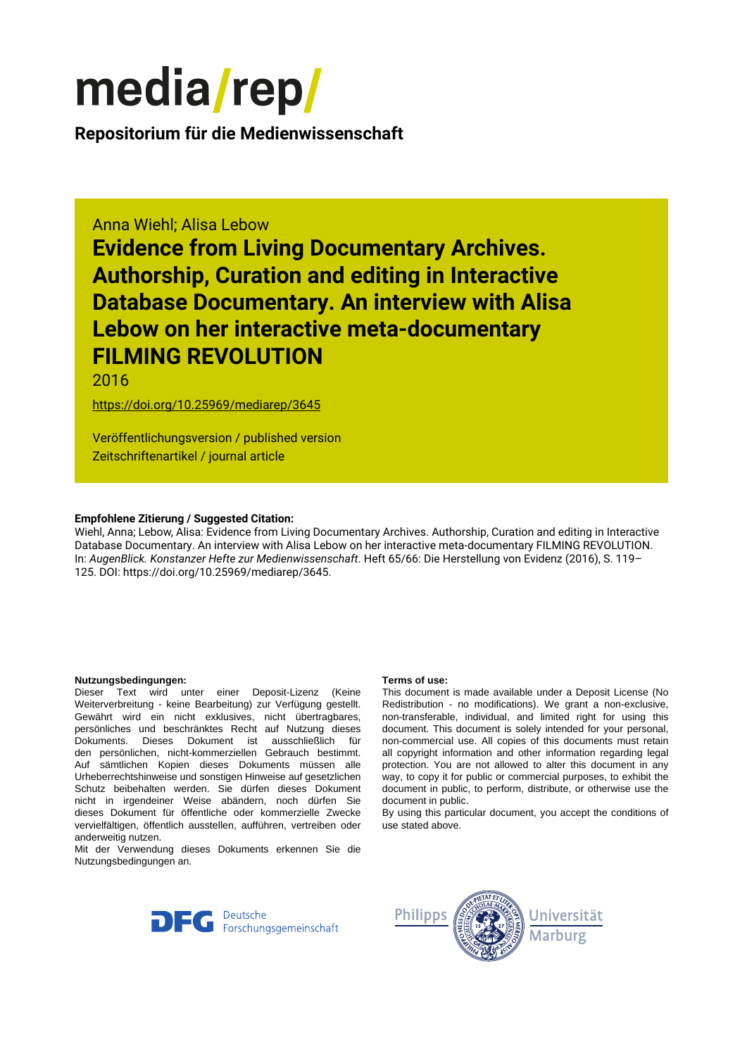# media/rep/

**Repositorium für die [Medienwissenschaft](https://mediarep.org)**

# Anna Wiehl; Alisa Lebow

**Evidence from Living Documentary Archives. Authorship, Curation and editing in Interactive Database Documentary. An interview with Alisa Lebow on her interactive meta-documentary FILMING REVOLUTION**

2016

<https://doi.org/10.25969/mediarep/3645>

Veröffentlichungsversion / published version Zeitschriftenartikel / journal article

### **Empfohlene Zitierung / Suggested Citation:**

Wiehl, Anna; Lebow, Alisa: Evidence from Living Documentary Archives. Authorship, Curation and editing in Interactive Database Documentary. An interview with Alisa Lebow on her interactive meta-documentary FILMING REVOLUTION. In: *AugenBlick. Konstanzer Hefte zur Medienwissenschaft*. Heft 65/66: Die Herstellung von Evidenz (2016), S. 119– 125. DOI: https://doi.org/10.25969/mediarep/3645.

#### **Nutzungsbedingungen: Terms of use:**

Dieser Text wird unter einer Deposit-Lizenz (Keine Weiterverbreitung - keine Bearbeitung) zur Verfügung gestellt. Gewährt wird ein nicht exklusives, nicht übertragbares, persönliches und beschränktes Recht auf Nutzung dieses Dokuments. Dieses Dokument ist ausschließlich für den persönlichen, nicht-kommerziellen Gebrauch bestimmt. Auf sämtlichen Kopien dieses Dokuments müssen alle Urheberrechtshinweise und sonstigen Hinweise auf gesetzlichen Schutz beibehalten werden. Sie dürfen dieses Dokument nicht in irgendeiner Weise abändern, noch dürfen Sie dieses Dokument für öffentliche oder kommerzielle Zwecke vervielfältigen, öffentlich ausstellen, aufführen, vertreiben oder anderweitig nutzen.

Mit der Verwendung dieses Dokuments erkennen Sie die Nutzungsbedingungen an.

This document is made available under a Deposit License (No Redistribution - no modifications). We grant a non-exclusive, non-transferable, individual, and limited right for using this document. This document is solely intended for your personal, non-commercial use. All copies of this documents must retain all copyright information and other information regarding legal protection. You are not allowed to alter this document in any way, to copy it for public or commercial purposes, to exhibit the document in public, to perform, distribute, or otherwise use the document in public.

By using this particular document, you accept the conditions of use stated above.



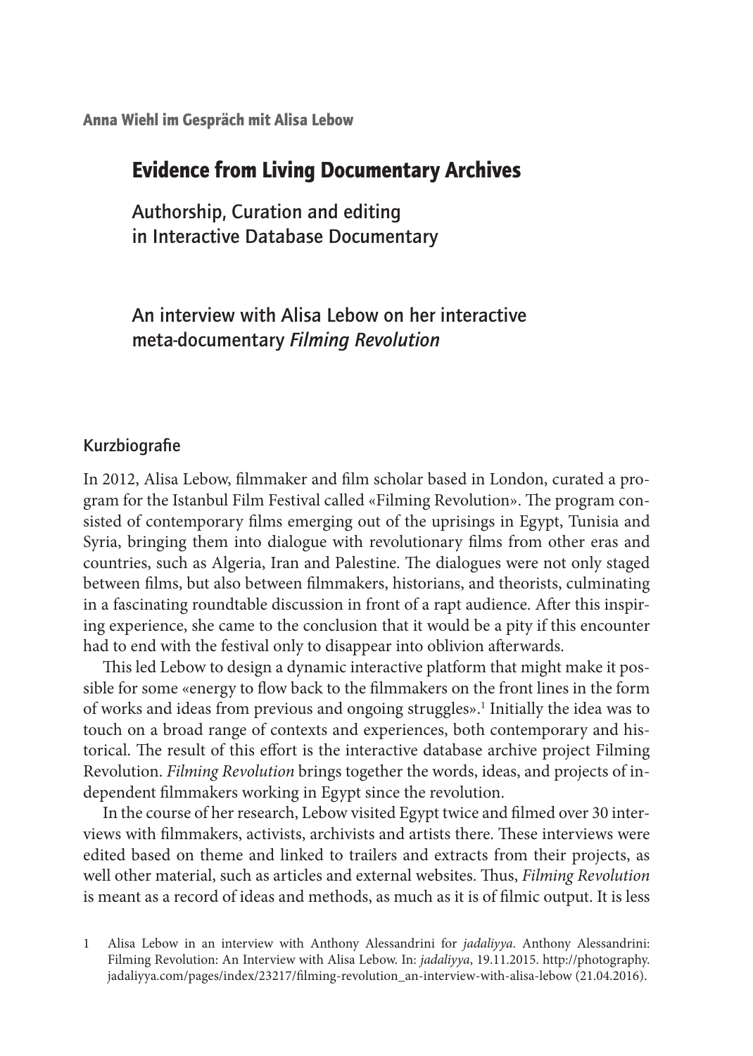Anna Wiehl im Gespräch mit Alisa Lebow

# Evidence from Living Documentary Archives

Authorship, Curation and editing in Interactive Database Documentary

An interview with Alisa Lebow on her interactive meta-documentary *Filming Revolution*

#### Kurzbiografie

In 2012, Alisa Lebow, filmmaker and film scholar based in London, curated a program for the Istanbul Film Festival called «Filming Revolution». The program consisted of contemporary films emerging out of the uprisings in Egypt, Tunisia and Syria, bringing them into dialogue with revolutionary films from other eras and countries, such as Algeria, Iran and Palestine. The dialogues were not only staged between films, but also between filmmakers, historians, and theorists, culminating in a fascinating roundtable discussion in front of a rapt audience. After this inspiring experience, she came to the conclusion that it would be a pity if this encounter had to end with the festival only to disappear into oblivion afterwards.

This led Lebow to design a dynamic interactive platform that might make it possible for some «energy to flow back to the filmmakers on the front lines in the form of works and ideas from previous and ongoing struggles».<sup>1</sup> Initially the idea was to touch on a broad range of contexts and experiences, both contemporary and historical. The result of this effort is the interactive database archive project Filming Revolution. *Filming Revolution* brings together the words, ideas, and projects of independent filmmakers working in Egypt since the revolution.

In the course of her research, Lebow visited Egypt twice and filmed over 30 interviews with filmmakers, activists, archivists and artists there. These interviews were edited based on theme and linked to trailers and extracts from their projects, as well other material, such as articles and external websites. Thus, *Filming Revolution* is meant as a record of ideas and methods, as much as it is of filmic output. It is less

1 Alisa Lebow in an interview with Anthony Alessandrini for *jadaliyya*. Anthony Alessandrini: Filming Revolution: An Interview with Alisa Lebow. In: *jadaliyya*, 19.11.2015. http://photography. jadaliyya.com/pages/index/23217/filming-revolution\_an-interview-with-alisa-lebow (21.04.2016).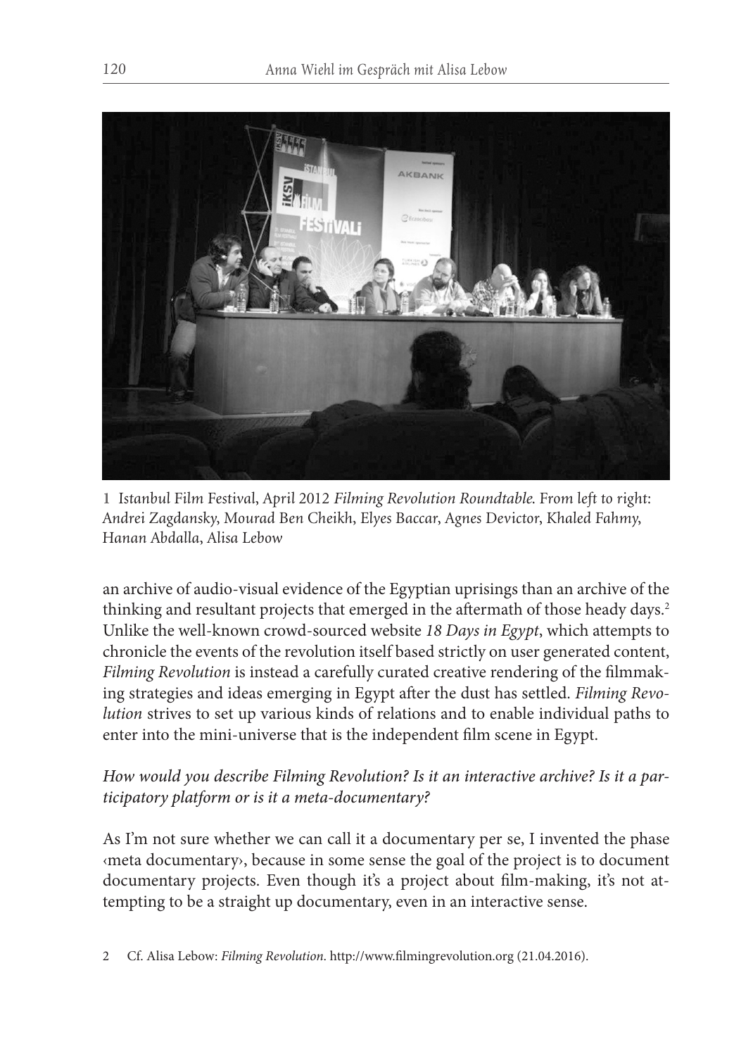

**1** *Istanbul Film Festival, April 2012 Filming Revolution Roundtable. From left to right: Andrei Zagdansky, Mourad Ben Cheikh, Elyes Baccar, Agnes Devictor, Khaled Fahmy, Hanan Abdalla, Alisa Lebow*

an archive of audio-visual evidence of the Egyptian uprisings than an archive of the thinking and resultant projects that emerged in the aftermath of those heady days.<sup>2</sup> Unlike the well-known crowd-sourced website *18 Days in Egypt*, which attempts to chronicle the events of the revolution itself based strictly on user generated content, *Filming Revolution* is instead a carefully curated creative rendering of the filmmaking strategies and ideas emerging in Egypt after the dust has settled. *Filming Revolution* strives to set up various kinds of relations and to enable individual paths to enter into the mini-universe that is the independent film scene in Egypt.

# *How would you describe Filming Revolution? Is it an interactive archive? Is it a participatory platform or is it a meta-documentary?*

As I'm not sure whether we can call it a documentary per se, I invented the phase ‹meta documentary›, because in some sense the goal of the project is to document documentary projects. Even though it's a project about film-making, it's not attempting to be a straight up documentary, even in an interactive sense.

2 Cf. Alisa Lebow: *Filming Revolution*. http://www.filmingrevolution.org (21.04.2016).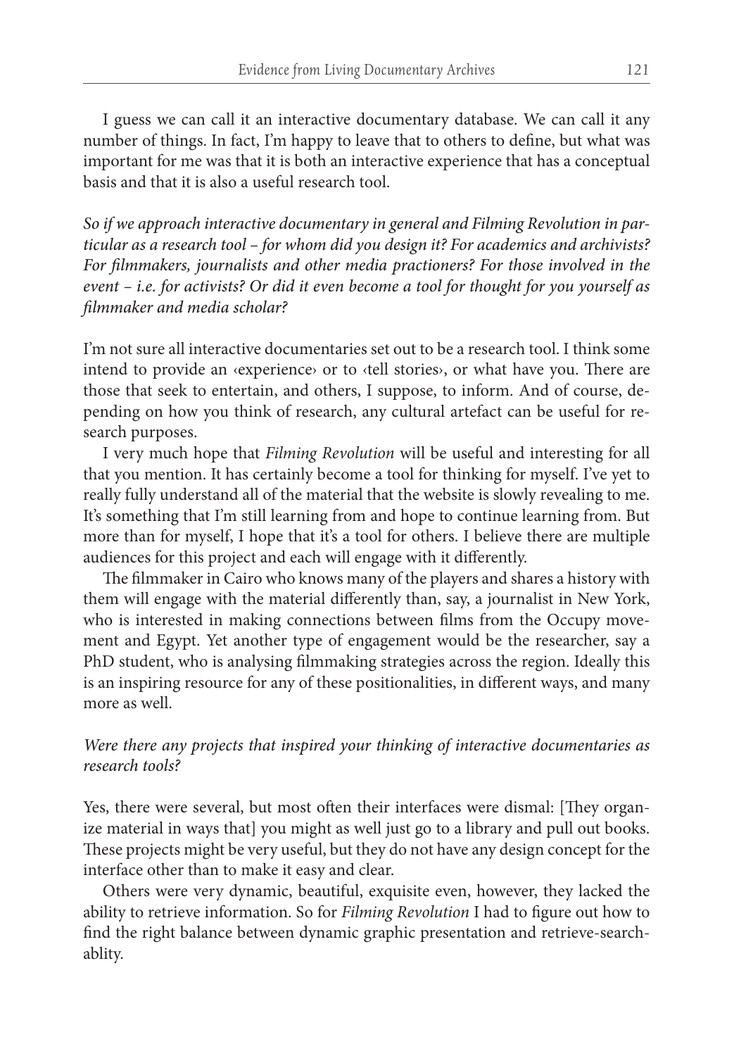I guess we can call it an interactive documentary database. We can call it any number of things. In fact, I'm happy to leave that to others to define, but what was important for me was that it is both an interactive experience that has a conceptual basis and that it is also a useful research tool.

*So if we approach interactive documentary in general and Filming Revolution in particular as a research tool – for whom did you design it? For academics and archivists? For filmmakers, journalists and other media practioners? For those involved in the event – i.e. for activists? Or did it even become a tool for thought for you yourself as filmmaker and media scholar?* 

I'm not sure all interactive documentaries set out to be a research tool. I think some intend to provide an ‹experience› or to ‹tell stories›, or what have you. There are those that seek to entertain, and others, I suppose, to inform. And of course, depending on how you think of research, any cultural artefact can be useful for research purposes.

I very much hope that *Filming Revolution* will be useful and interesting for all that you mention. It has certainly become a tool for thinking for myself. I've yet to really fully understand all of the material that the website is slowly revealing to me. It's something that I'm still learning from and hope to continue learning from. But more than for myself, I hope that it's a tool for others. I believe there are multiple audiences for this project and each will engage with it differently.

The filmmaker in Cairo who knows many of the players and shares a history with them will engage with the material differently than, say, a journalist in New York, who is interested in making connections between films from the Occupy movement and Egypt. Yet another type of engagement would be the researcher, say a PhD student, who is analysing filmmaking strategies across the region. Ideally this is an inspiring resource for any of these positionalities, in different ways, and many more as well

*Were there any projects that inspired your thinking of interactive documentaries as research tools?*

Yes, there were several, but most often their interfaces were dismal: [They organize material in ways that] you might as well just go to a library and pull out books. These projects might be very useful, but they do not have any design concept for the interface other than to make it easy and clear.

Others were very dynamic, beautiful, exquisite even, however, they lacked the ability to retrieve information. So for *Filming Revolution* I had to figure out how to find the right balance between dynamic graphic presentation and retrieve-searchablity.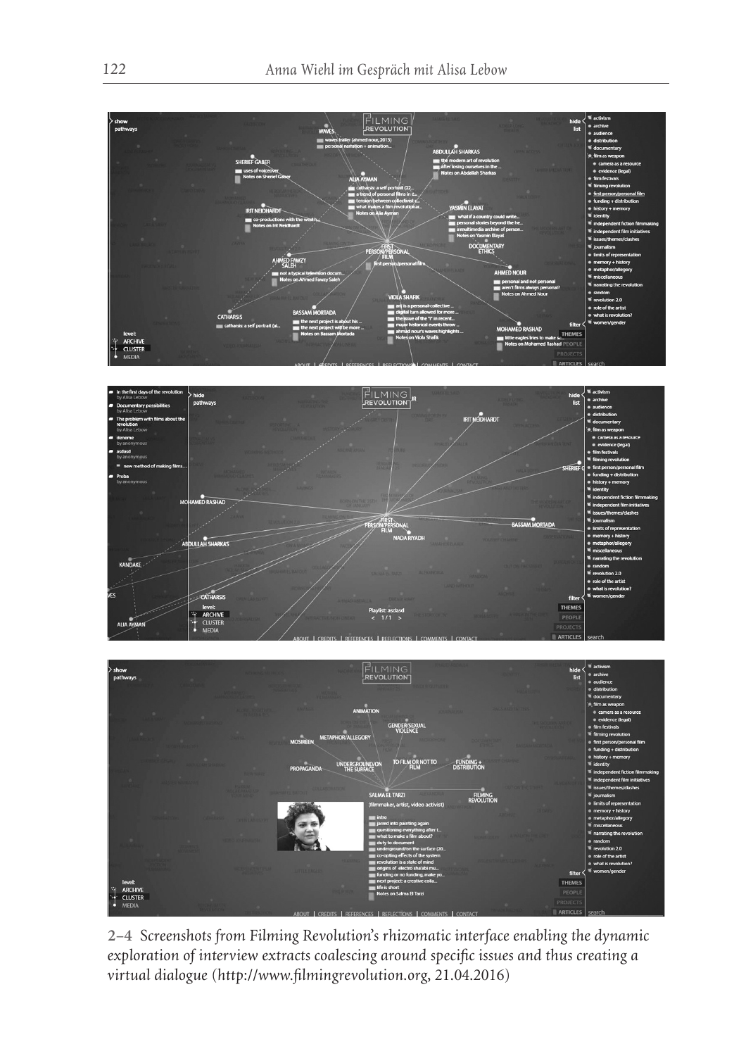





**2–4** *Screenshots from Filming Revolution's rhizomatic interface enabling the dynamic exploration of interview extracts coalescing around specific issues and thus creating a virtual dialogue (http://www.filmingrevolution.org, 21.04.2016)*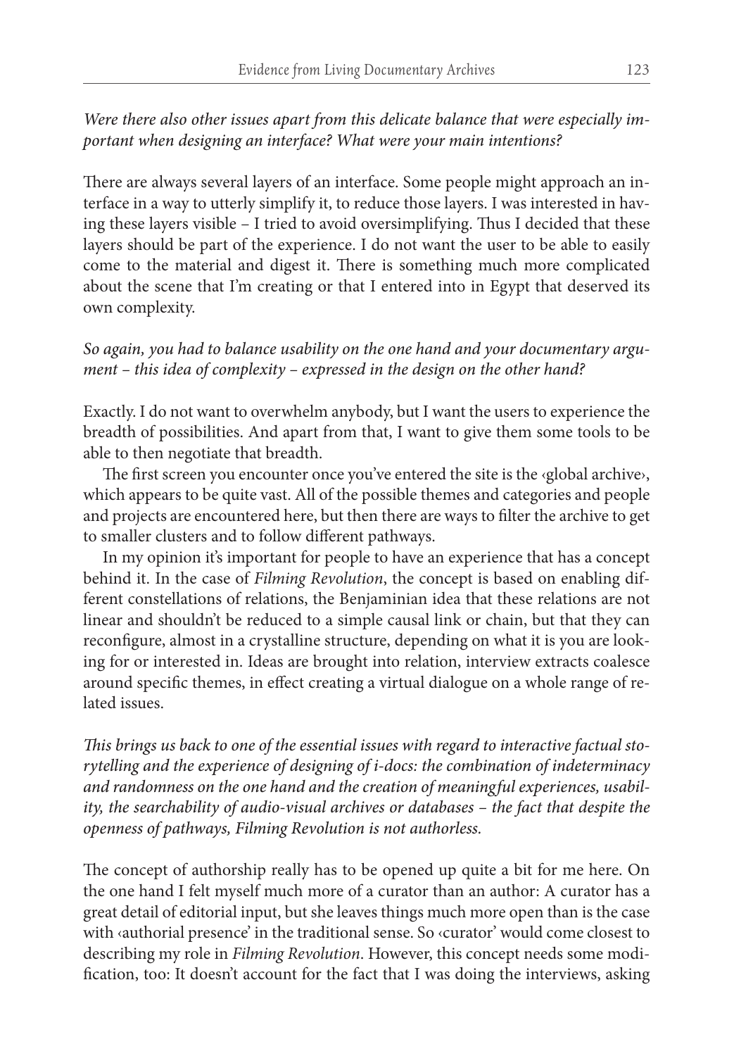*Were there also other issues apart from this delicate balance that were especially important when designing an interface? What were your main intentions?*

There are always several layers of an interface. Some people might approach an interface in a way to utterly simplify it, to reduce those layers. I was interested in having these layers visible – I tried to avoid oversimplifying. Thus I decided that these layers should be part of the experience. I do not want the user to be able to easily come to the material and digest it. There is something much more complicated about the scene that I'm creating or that I entered into in Egypt that deserved its own complexity.

## *So again, you had to balance usability on the one hand and your documentary argument – this idea of complexity – expressed in the design on the other hand?*

Exactly. I do not want to overwhelm anybody, but I want the users to experience the breadth of possibilities. And apart from that, I want to give them some tools to be able to then negotiate that breadth.

The first screen you encounter once you've entered the site is the ‹global archive›, which appears to be quite vast. All of the possible themes and categories and people and projects are encountered here, but then there are ways to filter the archive to get to smaller clusters and to follow different pathways.

In my opinion it's important for people to have an experience that has a concept behind it. In the case of *Filming Revolution*, the concept is based on enabling different constellations of relations, the Benjaminian idea that these relations are not linear and shouldn't be reduced to a simple causal link or chain, but that they can reconfigure, almost in a crystalline structure, depending on what it is you are looking for or interested in. Ideas are brought into relation, interview extracts coalesce around specific themes, in effect creating a virtual dialogue on a whole range of related issues.

*This brings us back to one of the essential issues with regard to interactive factual storytelling and the experience of designing of i-docs: the combination of indeterminacy and randomness on the one hand and the creation of meaningful experiences, usability, the searchability of audio-visual archives or databases – the fact that despite the openness of pathways, Filming Revolution is not authorless.* 

The concept of authorship really has to be opened up quite a bit for me here. On the one hand I felt myself much more of a curator than an author: A curator has a great detail of editorial input, but she leaves things much more open than is the case with ‹authorial presence' in the traditional sense. So ‹curator' would come closest to describing my role in *Filming Revolution*. However, this concept needs some modification, too: It doesn't account for the fact that I was doing the interviews, asking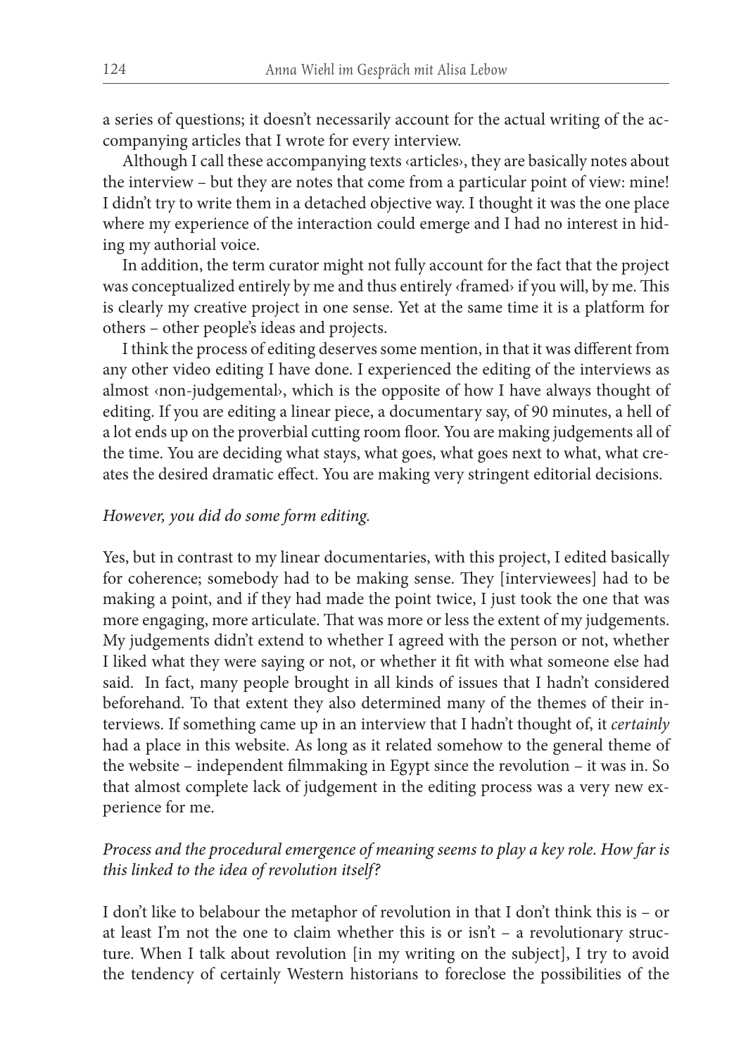a series of questions; it doesn't necessarily account for the actual writing of the accompanying articles that I wrote for every interview.

Although I call these accompanying texts ‹articles›, they are basically notes about the interview – but they are notes that come from a particular point of view: mine! I didn't try to write them in a detached objective way. I thought it was the one place where my experience of the interaction could emerge and I had no interest in hiding my authorial voice.

In addition, the term curator might not fully account for the fact that the project was conceptualized entirely by me and thus entirely ‹framed› if you will, by me. This is clearly my creative project in one sense. Yet at the same time it is a platform for others – other people's ideas and projects.

I think the process of editing deserves some mention, in that it was different from any other video editing I have done. I experienced the editing of the interviews as almost ‹non-judgemental›, which is the opposite of how I have always thought of editing. If you are editing a linear piece, a documentary say, of 90 minutes, a hell of a lot ends up on the proverbial cutting room floor. You are making judgements all of the time. You are deciding what stays, what goes, what goes next to what, what creates the desired dramatic effect. You are making very stringent editorial decisions.

#### *However, you did do some form editing.*

Yes, but in contrast to my linear documentaries, with this project, I edited basically for coherence; somebody had to be making sense. They [interviewees] had to be making a point, and if they had made the point twice, I just took the one that was more engaging, more articulate. That was more or less the extent of my judgements. My judgements didn't extend to whether I agreed with the person or not, whether I liked what they were saying or not, or whether it fit with what someone else had said. In fact, many people brought in all kinds of issues that I hadn't considered beforehand. To that extent they also determined many of the themes of their interviews. If something came up in an interview that I hadn't thought of, it *certainly* had a place in this website. As long as it related somehow to the general theme of the website – independent filmmaking in Egypt since the revolution – it was in. So that almost complete lack of judgement in the editing process was a very new experience for me.

# *Process and the procedural emergence of meaning seems to play a key role. How far is this linked to the idea of revolution itself?*

I don't like to belabour the metaphor of revolution in that I don't think this is – or at least I'm not the one to claim whether this is or isn't – a revolutionary structure. When I talk about revolution [in my writing on the subject], I try to avoid the tendency of certainly Western historians to foreclose the possibilities of the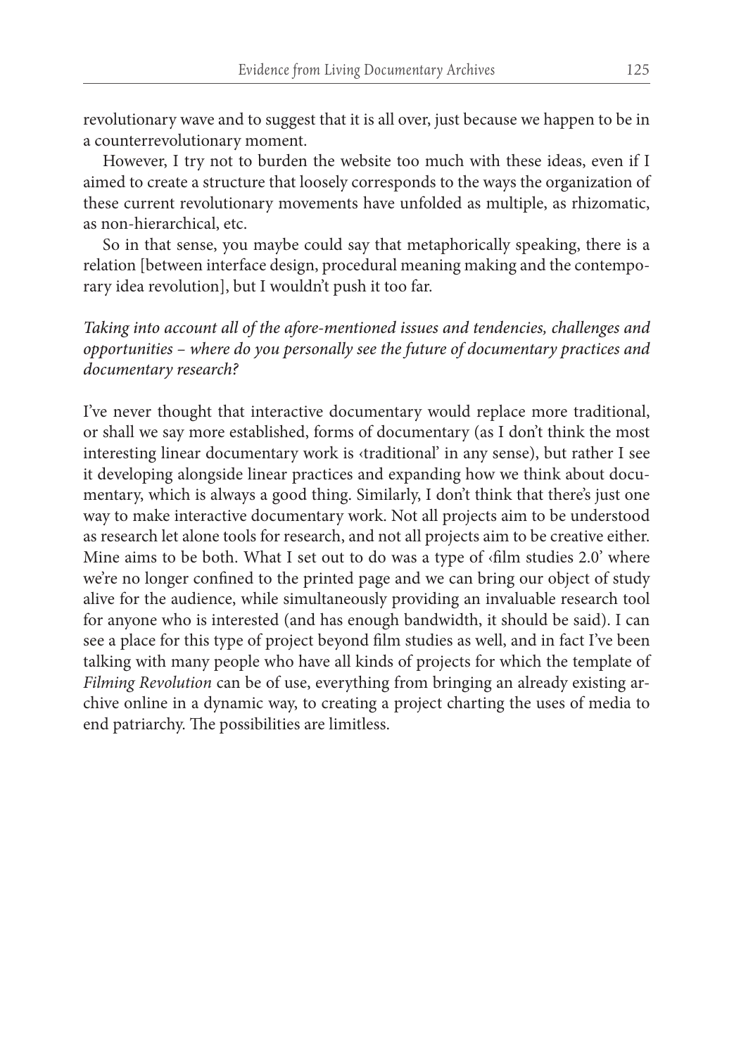revolutionary wave and to suggest that it is all over, just because we happen to be in a counterrevolutionary moment.

However, I try not to burden the website too much with these ideas, even if I aimed to create a structure that loosely corresponds to the ways the organization of these current revolutionary movements have unfolded as multiple, as rhizomatic, as non-hierarchical, etc.

So in that sense, you maybe could say that metaphorically speaking, there is a relation [between interface design, procedural meaning making and the contemporary idea revolution], but I wouldn't push it too far.

*Taking into account all of the afore-mentioned issues and tendencies, challenges and opportunities – where do you personally see the future of documentary practices and documentary research?*

I've never thought that interactive documentary would replace more traditional, or shall we say more established, forms of documentary (as I don't think the most interesting linear documentary work is ‹traditional' in any sense), but rather I see it developing alongside linear practices and expanding how we think about documentary, which is always a good thing. Similarly, I don't think that there's just one way to make interactive documentary work. Not all projects aim to be understood as research let alone tools for research, and not all projects aim to be creative either. Mine aims to be both. What I set out to do was a type of  $\dim$  studies 2.0' where we're no longer confined to the printed page and we can bring our object of study alive for the audience, while simultaneously providing an invaluable research tool for anyone who is interested (and has enough bandwidth, it should be said). I can see a place for this type of project beyond film studies as well, and in fact I've been talking with many people who have all kinds of projects for which the template of *Filming Revolution* can be of use, everything from bringing an already existing archive online in a dynamic way, to creating a project charting the uses of media to end patriarchy. The possibilities are limitless.